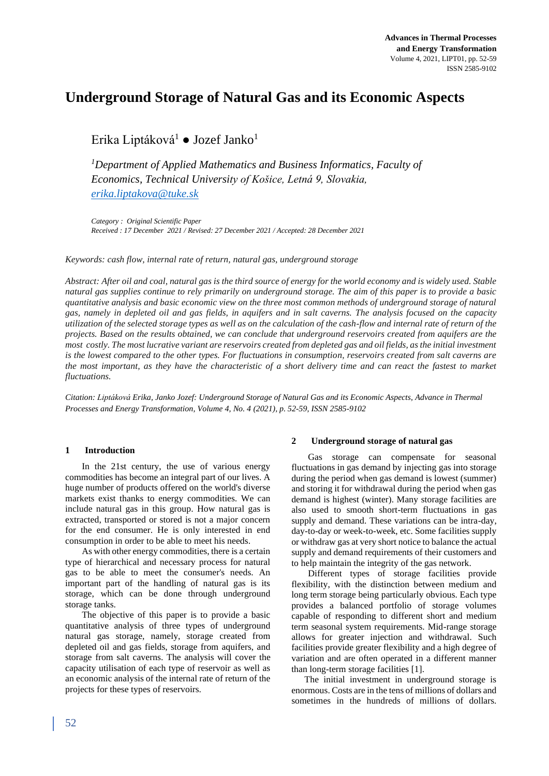# **Underground Storage of Natural Gas and its Economic Aspects**

Erika Liptáková<sup>1</sup> ● Jozef Janko<sup>1</sup>

*<sup>1</sup>Department of Applied Mathematics and Business Informatics, Faculty of Economics, Technical University of Košice, Letná 9, Slovakia, [erika.liptakova@tuke.sk](mailto:erika.liptakova@tuke.sk)*

*Category : Original Scientific Paper Received : 17 December 2021 / Revised: 27 December 2021 / Accepted: 28 December 2021*

*Keywords: cash flow, internal rate of return, natural gas, underground storage* 

*Abstract: After oil and coal, natural gas is the third source of energy for the world economy and is widely used. Stable natural gas supplies continue to rely primarily on underground storage. The aim of this paper is to provide a basic quantitative analysis and basic economic view on the three most common methods of underground storage of natural gas, namely in depleted oil and gas fields, in aquifers and in salt caverns. The analysis focused on the capacity utilization of the selected storage types as well as on the calculation of the cash-flow and internal rate of return of the projects. Based on the results obtained, we can conclude that underground reservoirs created from aquifers are the most costly. The most lucrative variant are reservoirs created from depleted gas and oil fields, as the initial investment is the lowest compared to the other types. For fluctuations in consumption, reservoirs created from salt caverns are the most important, as they have the characteristic of a short delivery time and can react the fastest to market fluctuations.*

*Citation: Liptáková Erika, Janko Jozef: Underground Storage of Natural Gas and its Economic Aspects, Advance in Thermal Processes and Energy Transformation, Volume 4, No. 4 (2021), p. 52-59, ISSN 2585-9102*

## **1 Introduction**

In the 21st century, the use of various energy commodities has become an integral part of our lives. A huge number of products offered on the world's diverse markets exist thanks to energy commodities. We can include natural gas in this group. How natural gas is extracted, transported or stored is not a major concern for the end consumer. He is only interested in end consumption in order to be able to meet his needs.

As with other energy commodities, there is a certain type of hierarchical and necessary process for natural gas to be able to meet the consumer's needs. An important part of the handling of natural gas is its storage, which can be done through underground storage tanks.

The objective of this paper is to provide a basic quantitative analysis of three types of underground natural gas storage, namely, storage created from depleted oil and gas fields, storage from aquifers, and storage from salt caverns. The analysis will cover the capacity utilisation of each type of reservoir as well as an economic analysis of the internal rate of return of the projects for these types of reservoirs.

#### **2 Underground storage of natural gas**

Gas storage can compensate for seasonal fluctuations in gas demand by injecting gas into storage during the period when gas demand is lowest (summer) and storing it for withdrawal during the period when gas demand is highest (winter). Many storage facilities are also used to smooth short-term fluctuations in gas supply and demand. These variations can be intra-day, day-to-day or week-to-week, etc. Some facilities supply or withdraw gas at very short notice to balance the actual supply and demand requirements of their customers and to help maintain the integrity of the gas network.

Different types of storage facilities provide flexibility, with the distinction between medium and long term storage being particularly obvious. Each type provides a balanced portfolio of storage volumes capable of responding to different short and medium term seasonal system requirements. Mid-range storage allows for greater injection and withdrawal. Such facilities provide greater flexibility and a high degree of variation and are often operated in a different manner than long-term storage facilities [1].

The initial investment in underground storage is enormous. Costs are in the tens of millions of dollars and sometimes in the hundreds of millions of dollars.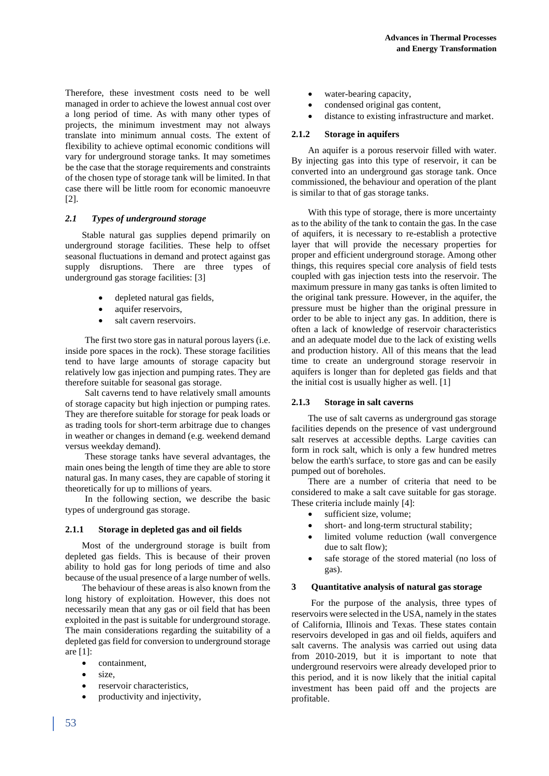Therefore, these investment costs need to be well managed in order to achieve the lowest annual cost over a long period of time. As with many other types of projects, the minimum investment may not always translate into minimum annual costs. The extent of flexibility to achieve optimal economic conditions will vary for underground storage tanks. It may sometimes be the case that the storage requirements and constraints of the chosen type of storage tank will be limited. In that case there will be little room for economic manoeuvre [2].

# *2.1 Types of underground storage*

Stable natural gas supplies depend primarily on underground storage facilities. These help to offset seasonal fluctuations in demand and protect against gas supply disruptions. There are three types of underground gas storage facilities: [3]

- depleted natural gas fields,
- aquifer reservoirs,
- salt cavern reservoirs.

The first two store gas in natural porous layers (i.e. inside pore spaces in the rock). These storage facilities tend to have large amounts of storage capacity but relatively low gas injection and pumping rates. They are therefore suitable for seasonal gas storage.

Salt caverns tend to have relatively small amounts of storage capacity but high injection or pumping rates. They are therefore suitable for storage for peak loads or as trading tools for short-term arbitrage due to changes in weather or changes in demand (e.g. weekend demand versus weekday demand).

These storage tanks have several advantages, the main ones being the length of time they are able to store natural gas. In many cases, they are capable of storing it theoretically for up to millions of years.

In the following section, we describe the basic types of underground gas storage.

## **2.1.1 Storage in depleted gas and oil fields**

Most of the underground storage is built from depleted gas fields. This is because of their proven ability to hold gas for long periods of time and also because of the usual presence of a large number of wells.

The behaviour of these areas is also known from the long history of exploitation. However, this does not necessarily mean that any gas or oil field that has been exploited in the past is suitable for underground storage. The main considerations regarding the suitability of a depleted gas field for conversion to underground storage are [1]:

- containment,
- size
- reservoir characteristics,
- productivity and injectivity,
- water-bearing capacity,
- condensed original gas content,
- distance to existing infrastructure and market.

#### **2.1.2 Storage in aquifers**

An aquifer is a porous reservoir filled with water. By injecting gas into this type of reservoir, it can be converted into an underground gas storage tank. Once commissioned, the behaviour and operation of the plant is similar to that of gas storage tanks.

With this type of storage, there is more uncertainty as to the ability of the tank to contain the gas. In the case of aquifers, it is necessary to re-establish a protective layer that will provide the necessary properties for proper and efficient underground storage. Among other things, this requires special core analysis of field tests coupled with gas injection tests into the reservoir. The maximum pressure in many gas tanks is often limited to the original tank pressure. However, in the aquifer, the pressure must be higher than the original pressure in order to be able to inject any gas. In addition, there is often a lack of knowledge of reservoir characteristics and an adequate model due to the lack of existing wells and production history. All of this means that the lead time to create an underground storage reservoir in aquifers is longer than for depleted gas fields and that the initial cost is usually higher as well. [1]

## **2.1.3 Storage in salt caverns**

The use of salt caverns as underground gas storage facilities depends on the presence of vast underground salt reserves at accessible depths. Large cavities can form in rock salt, which is only a few hundred metres below the earth's surface, to store gas and can be easily pumped out of boreholes.

There are a number of criteria that need to be considered to make a salt cave suitable for gas storage. These criteria include mainly [4]:

- sufficient size, volume;
- short- and long-term structural stability;
- limited volume reduction (wall convergence due to salt flow);
- safe storage of the stored material (no loss of gas).

#### **3 Quantitative analysis of natural gas storage**

For the purpose of the analysis, three types of reservoirs were selected in the USA, namely in the states of California, Illinois and Texas. These states contain reservoirs developed in gas and oil fields, aquifers and salt caverns. The analysis was carried out using data from 2010-2019, but it is important to note that underground reservoirs were already developed prior to this period, and it is now likely that the initial capital investment has been paid off and the projects are profitable.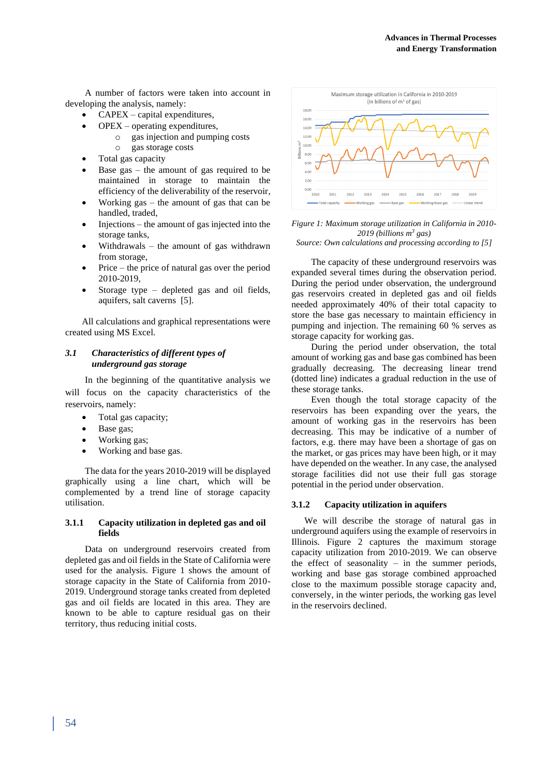A number of factors were taken into account in developing the analysis, namely:

- CAPEX capital expenditures,
	- OPEX operating expenditures,
		- o gas injection and pumping costs
		- o gas storage costs
- Total gas capacity
- Base gas the amount of gas required to be maintained in storage to maintain the efficiency of the deliverability of the reservoir,
- Working  $gas the amount of gas that can be$ handled, traded,
- $Injections the amount of gas injected into the$ storage tanks,
- Withdrawals the amount of gas withdrawn from storage,
- Price the price of natural gas over the period 2010-2019,
- Storage type depleted gas and oil fields, aquifers, salt caverns [5].

All calculations and graphical representations were created using MS Excel.

## *3.1 Characteristics of different types of underground gas storage*

In the beginning of the quantitative analysis we will focus on the capacity characteristics of the reservoirs, namely:

- Total gas capacity;
- Base gas;
- Working gas;
- Working and base gas.

The data for the years 2010-2019 will be displayed graphically using a line chart, which will be complemented by a trend line of storage capacity utilisation.

## **3.1.1 Capacity utilization in depleted gas and oil fields**

Data on underground reservoirs created from depleted gas and oil fields in the State of California were used for the analysis. Figure 1 shows the amount of storage capacity in the State of California from 2010- 2019. Underground storage tanks created from depleted gas and oil fields are located in this area. They are known to be able to capture residual gas on their territory, thus reducing initial costs.



*Figure 1: Maximum storage utilization in California in 2010- 2019 (billions m<sup>3</sup> gas)*

*Source: Own calculations and processing according to [5]*

The capacity of these underground reservoirs was expanded several times during the observation period. During the period under observation, the underground gas reservoirs created in depleted gas and oil fields needed approximately 40% of their total capacity to store the base gas necessary to maintain efficiency in pumping and injection. The remaining 60 % serves as storage capacity for working gas.

During the period under observation, the total amount of working gas and base gas combined has been gradually decreasing. The decreasing linear trend (dotted line) indicates a gradual reduction in the use of these storage tanks.

Even though the total storage capacity of the reservoirs has been expanding over the years, the amount of working gas in the reservoirs has been decreasing. This may be indicative of a number of factors, e.g. there may have been a shortage of gas on the market, or gas prices may have been high, or it may have depended on the weather. In any case, the analysed storage facilities did not use their full gas storage potential in the period under observation.

## **3.1.2 Capacity utilization in aquifers**

We will describe the storage of natural gas in underground aquifers using the example of reservoirs in Illinois. Figure 2 captures the maximum storage capacity utilization from 2010-2019. We can observe the effect of seasonality  $-$  in the summer periods, working and base gas storage combined approached close to the maximum possible storage capacity and, conversely, in the winter periods, the working gas level in the reservoirs declined.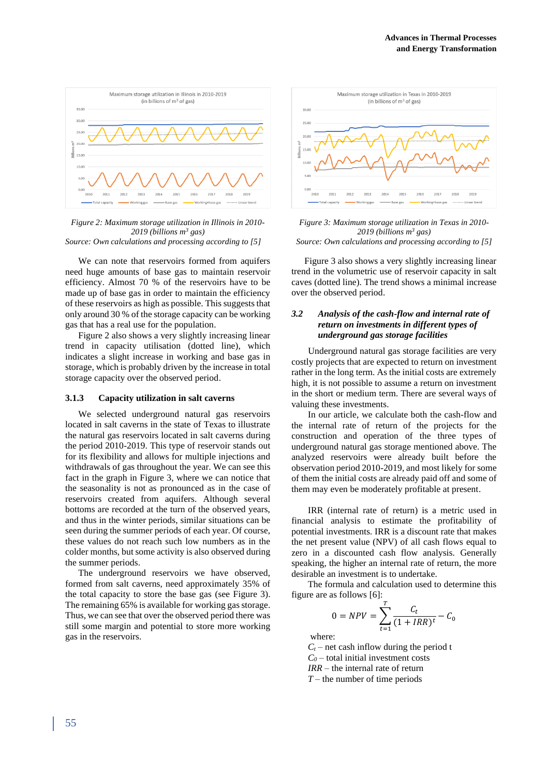

*Figure 2: Maximum storage utilization in Illinois in 2010- 2019 (billions m<sup>3</sup> gas) Source: Own calculations and processing according to [5]*

We can note that reservoirs formed from aquifers need huge amounts of base gas to maintain reservoir efficiency. Almost 70 % of the reservoirs have to be made up of base gas in order to maintain the efficiency of these reservoirs as high as possible. This suggests that only around 30 % of the storage capacity can be working gas that has a real use for the population.

Figure 2 also shows a very slightly increasing linear trend in capacity utilisation (dotted line), which indicates a slight increase in working and base gas in storage, which is probably driven by the increase in total storage capacity over the observed period.

#### **3.1.3 Capacity utilization in salt caverns**

We selected underground natural gas reservoirs located in salt caverns in the state of Texas to illustrate the natural gas reservoirs located in salt caverns during the period 2010-2019. This type of reservoir stands out for its flexibility and allows for multiple injections and withdrawals of gas throughout the year. We can see this fact in the graph in Figure 3, where we can notice that the seasonality is not as pronounced as in the case of reservoirs created from aquifers. Although several bottoms are recorded at the turn of the observed years, and thus in the winter periods, similar situations can be seen during the summer periods of each year. Of course, these values do not reach such low numbers as in the colder months, but some activity is also observed during the summer periods.

The underground reservoirs we have observed, formed from salt caverns, need approximately 35% of the total capacity to store the base gas (see Figure 3). The remaining 65% is available for working gas storage. Thus, we can see that over the observed period there was still some margin and potential to store more working gas in the reservoirs.





Figure 3 also shows a very slightly increasing linear trend in the volumetric use of reservoir capacity in salt caves (dotted line). The trend shows a minimal increase over the observed period.

#### *3.2 Analysis of the cash-flow and internal rate of return on investments in different types of underground gas storage facilities*

Underground natural gas storage facilities are very costly projects that are expected to return on investment rather in the long term. As the initial costs are extremely high, it is not possible to assume a return on investment in the short or medium term. There are several ways of valuing these investments.

In our article, we calculate both the cash-flow and the internal rate of return of the projects for the construction and operation of the three types of underground natural gas storage mentioned above. The analyzed reservoirs were already built before the observation period 2010-2019, and most likely for some of them the initial costs are already paid off and some of them may even be moderately profitable at present.

IRR (internal rate of return) is a metric used in financial analysis to estimate the profitability of potential investments. IRR is a discount rate that makes the net present value (NPV) of all cash flows equal to zero in a discounted cash flow analysis. Generally speaking, the higher an internal rate of return, the more desirable an investment is to undertake.

The formula and calculation used to determine this figure are as follows [6]:

$$
0 = NPV = \sum_{t=1}^{T} \frac{C_t}{(1 + IRR)^t} - C_0
$$

where:

 $C_t$  – net cash inflow during the period t  $C_0$  – total initial investment costs *IRR* – the internal rate of return

*T* – the number of time periods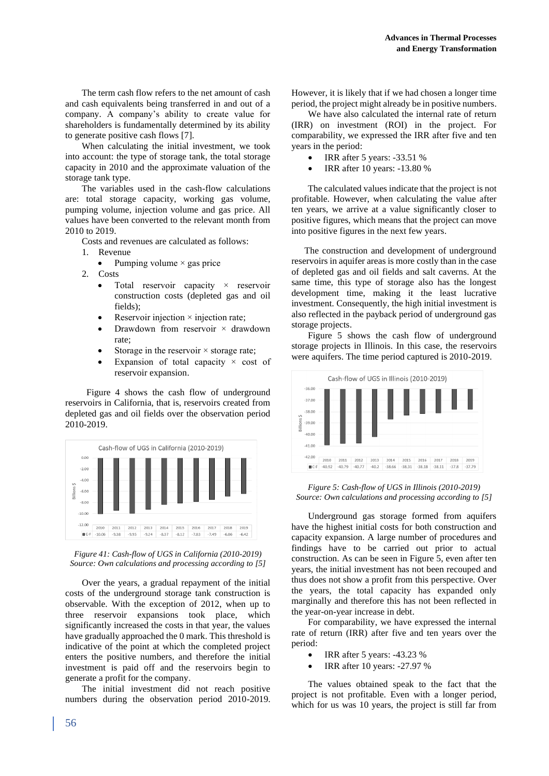The term cash flow refers to the net amount of cash and cash equivalents being transferred in and out of a company. A company's ability to create value for shareholders is fundamentally determined by its ability to generate positive cash flows [7].

When calculating the initial investment, we took into account: the type of storage tank, the total storage capacity in 2010 and the approximate valuation of the storage tank type.

The variables used in the cash-flow calculations are: total storage capacity, working gas volume, pumping volume, injection volume and gas price. All values have been converted to the relevant month from 2010 to 2019.

Costs and revenues are calculated as follows:

1. Revenue

- Pumping volume  $\times$  gas price
- 2. Costs
	- Total reservoir capacity  $\times$  reservoir construction costs (depleted gas and oil fields);
	- Reservoir injection  $\times$  injection rate;
	- Drawdown from reservoir  $\times$  drawdown rate;
	- Storage in the reservoir  $\times$  storage rate;
	- Expansion of total capacity  $\times$  cost of reservoir expansion.

 Figure 4 shows the cash flow of underground reservoirs in California, that is, reservoirs created from depleted gas and oil fields over the observation period 2010-2019.





Over the years, a gradual repayment of the initial costs of the underground storage tank construction is observable. With the exception of 2012, when up to three reservoir expansions took place, which significantly increased the costs in that year, the values have gradually approached the 0 mark. This threshold is indicative of the point at which the completed project enters the positive numbers, and therefore the initial investment is paid off and the reservoirs begin to generate a profit for the company.

The initial investment did not reach positive numbers during the observation period 2010-2019. However, it is likely that if we had chosen a longer time period, the project might already be in positive numbers.

We have also calculated the internal rate of return (IRR) on investment (ROI) in the project. For comparability, we expressed the IRR after five and ten years in the period:

- IRR after 5 years: -33.51 %
- IRR after 10 years: -13.80 %

The calculated values indicate that the project is not profitable. However, when calculating the value after ten years, we arrive at a value significantly closer to positive figures, which means that the project can move into positive figures in the next few years.

The construction and development of underground reservoirs in aquifer areas is more costly than in the case of depleted gas and oil fields and salt caverns. At the same time, this type of storage also has the longest development time, making it the least lucrative investment. Consequently, the high initial investment is also reflected in the payback period of underground gas storage projects.

Figure 5 shows the cash flow of underground storage projects in Illinois. In this case, the reservoirs were aquifers. The time period captured is 2010-2019.



*Figure 5: Cash-flow of UGS in Illinois (2010-2019) Source: Own calculations and processing according to [5]*

Underground gas storage formed from aquifers have the highest initial costs for both construction and capacity expansion. A large number of procedures and findings have to be carried out prior to actual construction. As can be seen in Figure 5, even after ten years, the initial investment has not been recouped and thus does not show a profit from this perspective. Over the years, the total capacity has expanded only marginally and therefore this has not been reflected in the year-on-year increase in debt.

For comparability, we have expressed the internal rate of return (IRR) after five and ten years over the period:

- IRR after 5 years: -43.23 %
- IRR after 10 years: -27.97 %

The values obtained speak to the fact that the project is not profitable. Even with a longer period, which for us was 10 years, the project is still far from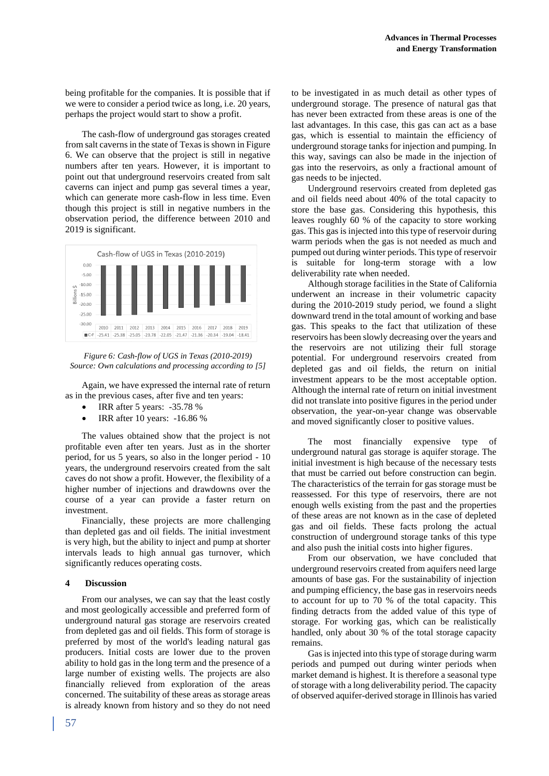being profitable for the companies. It is possible that if we were to consider a period twice as long, i.e. 20 years, perhaps the project would start to show a profit.

The cash-flow of underground gas storages created from salt caverns in the state of Texas is shown in Figure 6. We can observe that the project is still in negative numbers after ten years. However, it is important to point out that underground reservoirs created from salt caverns can inject and pump gas several times a year, which can generate more cash-flow in less time. Even though this project is still in negative numbers in the observation period, the difference between 2010 and 2019 is significant.



*Figure 6: Cash-flow of UGS in Texas (2010-2019) Source: Own calculations and processing according to [5]*

Again, we have expressed the internal rate of return as in the previous cases, after five and ten years:

- IRR after 5 years: -35.78 %
- IRR after 10 years: -16.86 %

The values obtained show that the project is not profitable even after ten years. Just as in the shorter period, for us 5 years, so also in the longer period - 10 years, the underground reservoirs created from the salt caves do not show a profit. However, the flexibility of a higher number of injections and drawdowns over the course of a year can provide a faster return on investment.

Financially, these projects are more challenging than depleted gas and oil fields. The initial investment is very high, but the ability to inject and pump at shorter intervals leads to high annual gas turnover, which significantly reduces operating costs.

## **4 Discussion**

From our analyses, we can say that the least costly and most geologically accessible and preferred form of underground natural gas storage are reservoirs created from depleted gas and oil fields. This form of storage is preferred by most of the world's leading natural gas producers. Initial costs are lower due to the proven ability to hold gas in the long term and the presence of a large number of existing wells. The projects are also financially relieved from exploration of the areas concerned. The suitability of these areas as storage areas is already known from history and so they do not need to be investigated in as much detail as other types of underground storage. The presence of natural gas that has never been extracted from these areas is one of the last advantages. In this case, this gas can act as a base gas, which is essential to maintain the efficiency of underground storage tanks for injection and pumping. In this way, savings can also be made in the injection of gas into the reservoirs, as only a fractional amount of gas needs to be injected.

Underground reservoirs created from depleted gas and oil fields need about 40% of the total capacity to store the base gas. Considering this hypothesis, this leaves roughly 60 % of the capacity to store working gas. This gas is injected into this type of reservoir during warm periods when the gas is not needed as much and pumped out during winter periods. This type of reservoir is suitable for long-term storage with a low deliverability rate when needed.

Although storage facilities in the State of California underwent an increase in their volumetric capacity during the 2010-2019 study period, we found a slight downward trend in the total amount of working and base gas. This speaks to the fact that utilization of these reservoirs has been slowly decreasing over the years and the reservoirs are not utilizing their full storage potential. For underground reservoirs created from depleted gas and oil fields, the return on initial investment appears to be the most acceptable option. Although the internal rate of return on initial investment did not translate into positive figures in the period under observation, the year-on-year change was observable and moved significantly closer to positive values.

The most financially expensive type of underground natural gas storage is aquifer storage. The initial investment is high because of the necessary tests that must be carried out before construction can begin. The characteristics of the terrain for gas storage must be reassessed. For this type of reservoirs, there are not enough wells existing from the past and the properties of these areas are not known as in the case of depleted gas and oil fields. These facts prolong the actual construction of underground storage tanks of this type and also push the initial costs into higher figures.

From our observation, we have concluded that underground reservoirs created from aquifers need large amounts of base gas. For the sustainability of injection and pumping efficiency, the base gas in reservoirs needs to account for up to 70 % of the total capacity. This finding detracts from the added value of this type of storage. For working gas, which can be realistically handled, only about 30 % of the total storage capacity remains.

Gas is injected into this type of storage during warm periods and pumped out during winter periods when market demand is highest. It is therefore a seasonal type of storage with a long deliverability period. The capacity of observed aquifer-derived storage in Illinois has varied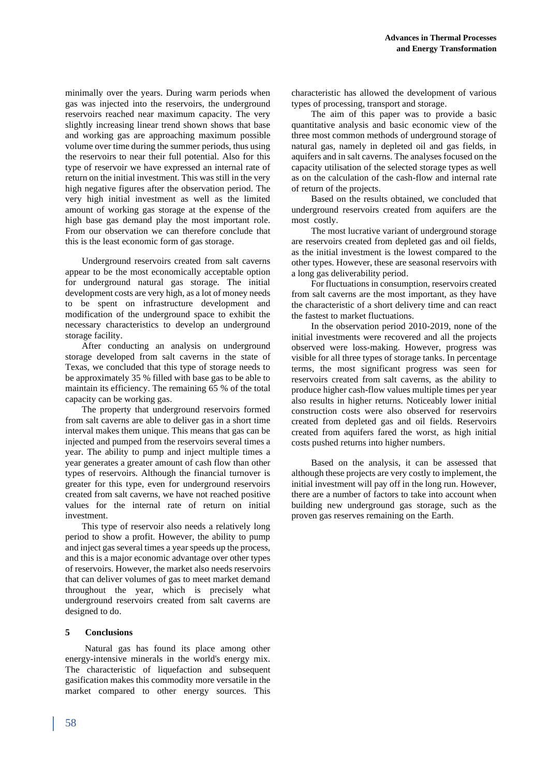minimally over the years. During warm periods when gas was injected into the reservoirs, the underground reservoirs reached near maximum capacity. The very slightly increasing linear trend shown shows that base and working gas are approaching maximum possible volume over time during the summer periods, thus using the reservoirs to near their full potential. Also for this type of reservoir we have expressed an internal rate of return on the initial investment. This was still in the very high negative figures after the observation period. The very high initial investment as well as the limited amount of working gas storage at the expense of the high base gas demand play the most important role. From our observation we can therefore conclude that this is the least economic form of gas storage.

Underground reservoirs created from salt caverns appear to be the most economically acceptable option for underground natural gas storage. The initial development costs are very high, as a lot of money needs to be spent on infrastructure development and modification of the underground space to exhibit the necessary characteristics to develop an underground storage facility.

After conducting an analysis on underground storage developed from salt caverns in the state of Texas, we concluded that this type of storage needs to be approximately 35 % filled with base gas to be able to maintain its efficiency. The remaining 65 % of the total capacity can be working gas.

The property that underground reservoirs formed from salt caverns are able to deliver gas in a short time interval makes them unique. This means that gas can be injected and pumped from the reservoirs several times a year. The ability to pump and inject multiple times a year generates a greater amount of cash flow than other types of reservoirs. Although the financial turnover is greater for this type, even for underground reservoirs created from salt caverns, we have not reached positive values for the internal rate of return on initial investment.

This type of reservoir also needs a relatively long period to show a profit. However, the ability to pump and inject gas several times a year speeds up the process, and this is a major economic advantage over other types of reservoirs. However, the market also needs reservoirs that can deliver volumes of gas to meet market demand throughout the year, which is precisely what underground reservoirs created from salt caverns are designed to do.

## **5 Conclusions**

Natural gas has found its place among other energy-intensive minerals in the world's energy mix. The characteristic of liquefaction and subsequent gasification makes this commodity more versatile in the market compared to other energy sources. This characteristic has allowed the development of various types of processing, transport and storage.

The aim of this paper was to provide a basic quantitative analysis and basic economic view of the three most common methods of underground storage of natural gas, namely in depleted oil and gas fields, in aquifers and in salt caverns. The analyses focused on the capacity utilisation of the selected storage types as well as on the calculation of the cash-flow and internal rate of return of the projects.

Based on the results obtained, we concluded that underground reservoirs created from aquifers are the most costly.

The most lucrative variant of underground storage are reservoirs created from depleted gas and oil fields, as the initial investment is the lowest compared to the other types. However, these are seasonal reservoirs with a long gas deliverability period.

For fluctuations in consumption, reservoirs created from salt caverns are the most important, as they have the characteristic of a short delivery time and can react the fastest to market fluctuations.

In the observation period 2010-2019, none of the initial investments were recovered and all the projects observed were loss-making. However, progress was visible for all three types of storage tanks. In percentage terms, the most significant progress was seen for reservoirs created from salt caverns, as the ability to produce higher cash-flow values multiple times per year also results in higher returns. Noticeably lower initial construction costs were also observed for reservoirs created from depleted gas and oil fields. Reservoirs created from aquifers fared the worst, as high initial costs pushed returns into higher numbers.

Based on the analysis, it can be assessed that although these projects are very costly to implement, the initial investment will pay off in the long run. However, there are a number of factors to take into account when building new underground gas storage, such as the proven gas reserves remaining on the Earth.